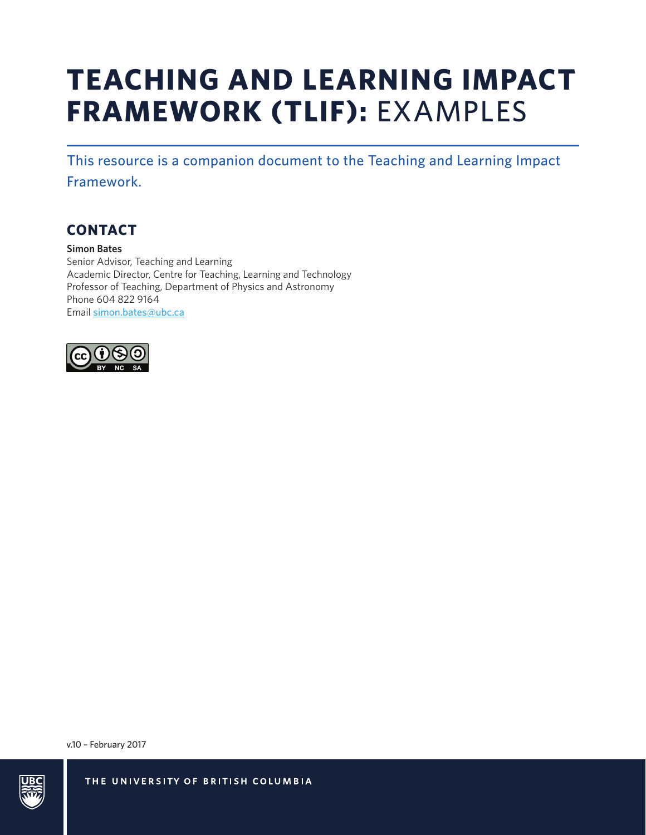# **TEACHING AND LEARNING IMPACT FRAMEWORK (TLIF):** EXAMPLES

This resource is a companion document to the Teaching and Learning Impact

Framework.

## **CONTACT**

**Simon Bates** Senior Advisor, Teaching and Learning Academic Director, Centre for Teaching, Learning and Technology Professor of Teaching, Department of Physics and Astronomy Phone 604 822 9164 Email [simon.bates@ubc.ca](mailto:simon.bates%40ubc.ca?subject=)



v.10 – February 2017

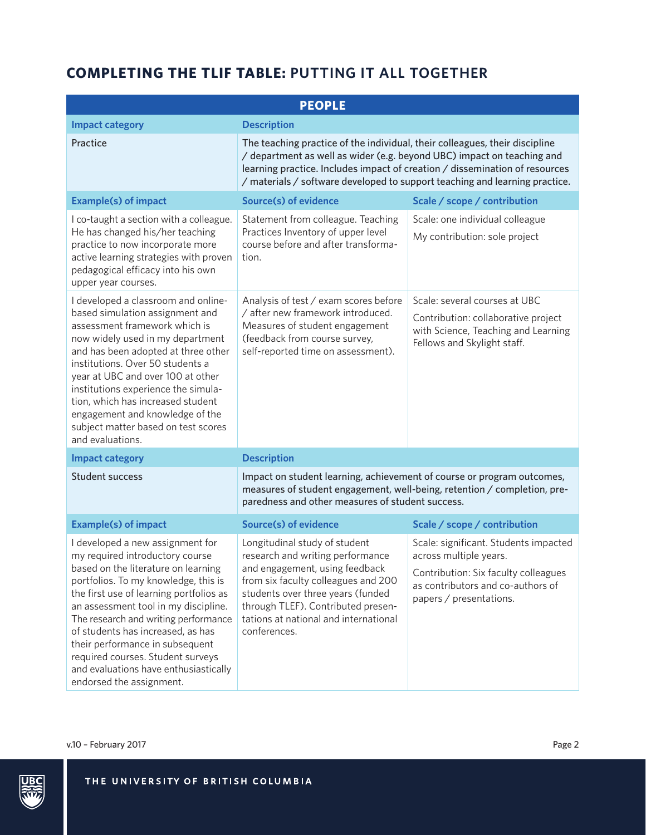| <b>PEOPLE</b>                                                                                                                                                                                                                                                                                                                                                                                                                                                   |                                                                                                                                                                                                                                                                                                                     |                                                                                                                                                                         |  |  |
|-----------------------------------------------------------------------------------------------------------------------------------------------------------------------------------------------------------------------------------------------------------------------------------------------------------------------------------------------------------------------------------------------------------------------------------------------------------------|---------------------------------------------------------------------------------------------------------------------------------------------------------------------------------------------------------------------------------------------------------------------------------------------------------------------|-------------------------------------------------------------------------------------------------------------------------------------------------------------------------|--|--|
| <b>Impact category</b>                                                                                                                                                                                                                                                                                                                                                                                                                                          | <b>Description</b>                                                                                                                                                                                                                                                                                                  |                                                                                                                                                                         |  |  |
| Practice                                                                                                                                                                                                                                                                                                                                                                                                                                                        | The teaching practice of the individual, their colleagues, their discipline<br>/ department as well as wider (e.g. beyond UBC) impact on teaching and<br>learning practice. Includes impact of creation / dissemination of resources<br>/ materials / software developed to support teaching and learning practice. |                                                                                                                                                                         |  |  |
| <b>Example(s) of impact</b>                                                                                                                                                                                                                                                                                                                                                                                                                                     | <b>Source(s) of evidence</b>                                                                                                                                                                                                                                                                                        | Scale / scope / contribution                                                                                                                                            |  |  |
| I co-taught a section with a colleague.<br>He has changed his/her teaching<br>practice to now incorporate more<br>active learning strategies with proven<br>pedagogical efficacy into his own<br>upper year courses.                                                                                                                                                                                                                                            | Statement from colleague. Teaching<br>Practices Inventory of upper level<br>course before and after transforma-<br>tion.                                                                                                                                                                                            | Scale: one individual colleague<br>My contribution: sole project                                                                                                        |  |  |
| I developed a classroom and online-<br>based simulation assignment and<br>assessment framework which is<br>now widely used in my department<br>and has been adopted at three other<br>institutions. Over 50 students a<br>year at UBC and over 100 at other<br>institutions experience the simula-<br>tion, which has increased student<br>engagement and knowledge of the<br>subject matter based on test scores<br>and evaluations.                           | Analysis of test / exam scores before<br>/ after new framework introduced.<br>Measures of student engagement<br>(feedback from course survey,<br>self-reported time on assessment).                                                                                                                                 | Scale: several courses at UBC<br>Contribution: collaborative project<br>with Science, Teaching and Learning<br>Fellows and Skylight staff.                              |  |  |
| <b>Impact category</b>                                                                                                                                                                                                                                                                                                                                                                                                                                          | <b>Description</b>                                                                                                                                                                                                                                                                                                  |                                                                                                                                                                         |  |  |
| <b>Student success</b>                                                                                                                                                                                                                                                                                                                                                                                                                                          | Impact on student learning, achievement of course or program outcomes,<br>measures of student engagement, well-being, retention / completion, pre-<br>paredness and other measures of student success.                                                                                                              |                                                                                                                                                                         |  |  |
| <b>Example(s) of impact</b>                                                                                                                                                                                                                                                                                                                                                                                                                                     | <b>Source(s) of evidence</b>                                                                                                                                                                                                                                                                                        | Scale / scope / contribution                                                                                                                                            |  |  |
| I developed a new assignment for<br>my required introductory course<br>based on the literature on learning<br>portfolios. To my knowledge, this is<br>the first use of learning portfolios as<br>an assessment tool in my discipline.<br>The research and writing performance<br>of students has increased, as has<br>their performance in subsequent<br>required courses. Student surveys<br>and evaluations have enthusiastically<br>endorsed the assignment. | Longitudinal study of student<br>research and writing performance<br>and engagement, using feedback<br>from six faculty colleagues and 200<br>students over three years (funded<br>through TLEF). Contributed presen-<br>tations at national and international<br>conferences.                                      | Scale: significant. Students impacted<br>across multiple years.<br>Contribution: Six faculty colleagues<br>as contributors and co-authors of<br>papers / presentations. |  |  |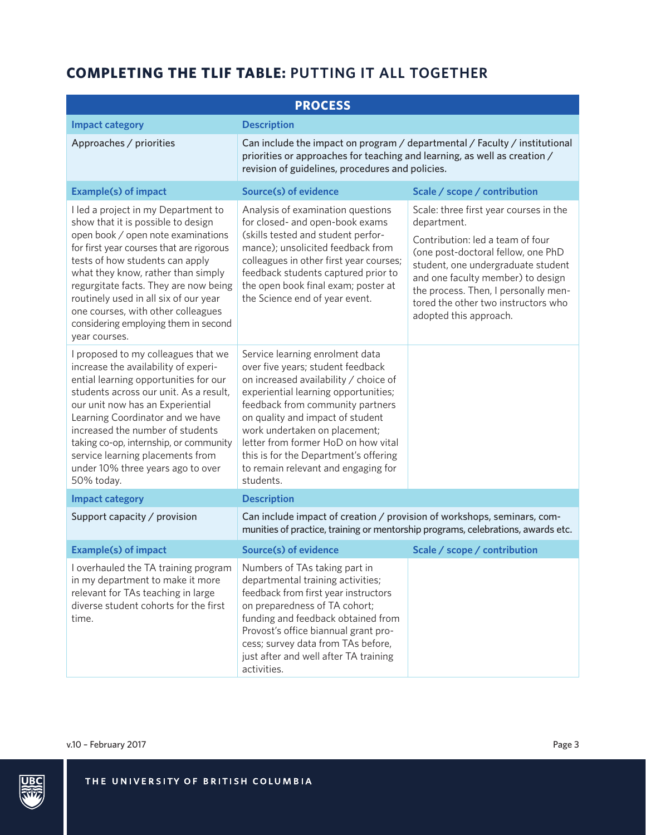| <b>PROCESS</b>                                                                                                                                                                                                                                                                                                                                                                                              |                                                                                                                                                                                                                                                                                                                                                                                                    |                                                                                                                                                                                                                                                            |  |  |
|-------------------------------------------------------------------------------------------------------------------------------------------------------------------------------------------------------------------------------------------------------------------------------------------------------------------------------------------------------------------------------------------------------------|----------------------------------------------------------------------------------------------------------------------------------------------------------------------------------------------------------------------------------------------------------------------------------------------------------------------------------------------------------------------------------------------------|------------------------------------------------------------------------------------------------------------------------------------------------------------------------------------------------------------------------------------------------------------|--|--|
| <b>Impact category</b>                                                                                                                                                                                                                                                                                                                                                                                      | <b>Description</b>                                                                                                                                                                                                                                                                                                                                                                                 |                                                                                                                                                                                                                                                            |  |  |
| Approaches / priorities                                                                                                                                                                                                                                                                                                                                                                                     | Can include the impact on program / departmental / Faculty / institutional<br>priorities or approaches for teaching and learning, as well as creation /<br>revision of guidelines, procedures and policies.                                                                                                                                                                                        |                                                                                                                                                                                                                                                            |  |  |
| <b>Example(s) of impact</b>                                                                                                                                                                                                                                                                                                                                                                                 | <b>Source(s) of evidence</b>                                                                                                                                                                                                                                                                                                                                                                       | Scale / scope / contribution                                                                                                                                                                                                                               |  |  |
| I led a project in my Department to<br>show that it is possible to design                                                                                                                                                                                                                                                                                                                                   | Analysis of examination questions<br>for closed- and open-book exams                                                                                                                                                                                                                                                                                                                               | Scale: three first year courses in the<br>department.                                                                                                                                                                                                      |  |  |
| open book / open note examinations<br>for first year courses that are rigorous<br>tests of how students can apply<br>what they know, rather than simply<br>regurgitate facts. They are now being<br>routinely used in all six of our year<br>one courses, with other colleagues<br>considering employing them in second<br>year courses.                                                                    | (skills tested and student perfor-<br>mance); unsolicited feedback from<br>colleagues in other first year courses;<br>feedback students captured prior to<br>the open book final exam; poster at<br>the Science end of year event.                                                                                                                                                                 | Contribution: led a team of four<br>(one post-doctoral fellow, one PhD<br>student, one undergraduate student<br>and one faculty member) to design<br>the process. Then, I personally men-<br>tored the other two instructors who<br>adopted this approach. |  |  |
| I proposed to my colleagues that we<br>increase the availability of experi-<br>ential learning opportunities for our<br>students across our unit. As a result,<br>our unit now has an Experiential<br>Learning Coordinator and we have<br>increased the number of students<br>taking co-op, internship, or community<br>service learning placements from<br>under 10% three years ago to over<br>50% today. | Service learning enrolment data<br>over five years; student feedback<br>on increased availability / choice of<br>experiential learning opportunities;<br>feedback from community partners<br>on quality and impact of student<br>work undertaken on placement;<br>letter from former HoD on how vital<br>this is for the Department's offering<br>to remain relevant and engaging for<br>students. |                                                                                                                                                                                                                                                            |  |  |
| <b>Impact category</b>                                                                                                                                                                                                                                                                                                                                                                                      | <b>Description</b>                                                                                                                                                                                                                                                                                                                                                                                 |                                                                                                                                                                                                                                                            |  |  |
| Support capacity / provision                                                                                                                                                                                                                                                                                                                                                                                | Can include impact of creation / provision of workshops, seminars, com-<br>munities of practice, training or mentorship programs, celebrations, awards etc.                                                                                                                                                                                                                                        |                                                                                                                                                                                                                                                            |  |  |
| <b>Example(s) of impact</b>                                                                                                                                                                                                                                                                                                                                                                                 | <b>Source(s) of evidence</b>                                                                                                                                                                                                                                                                                                                                                                       | Scale / scope / contribution                                                                                                                                                                                                                               |  |  |
| I overhauled the TA training program<br>in my department to make it more<br>relevant for TAs teaching in large<br>diverse student cohorts for the first<br>time.                                                                                                                                                                                                                                            | Numbers of TAs taking part in<br>departmental training activities;<br>feedback from first year instructors<br>on preparedness of TA cohort;<br>funding and feedback obtained from<br>Provost's office biannual grant pro-<br>cess; survey data from TAs before,<br>just after and well after TA training<br>activities.                                                                            |                                                                                                                                                                                                                                                            |  |  |

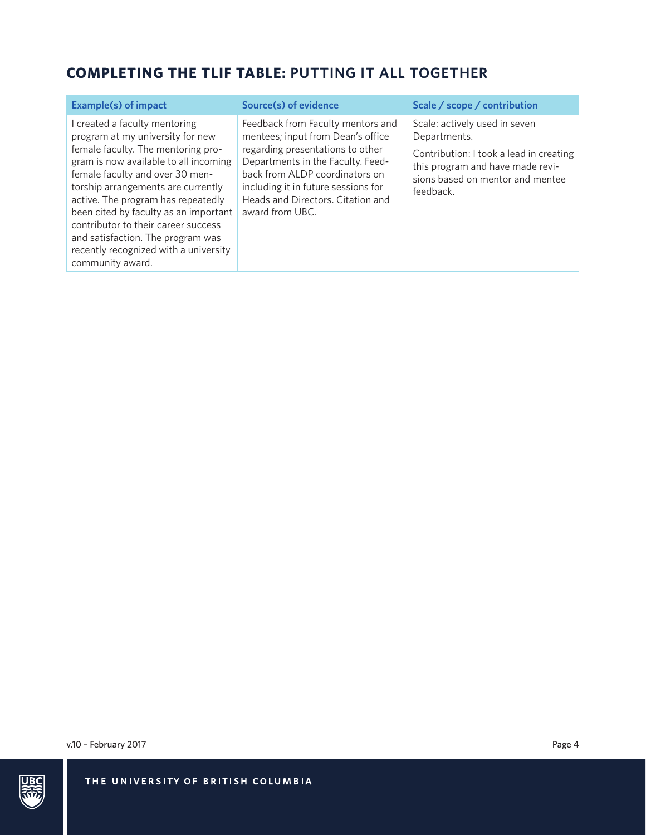| <b>Example(s) of impact</b>                                                                                                                                                                                                                                                                                                                                                                                                                     | Source(s) of evidence                                                                                                                                                                                                                                                            | Scale / scope / contribution                                                                                                                                                  |
|-------------------------------------------------------------------------------------------------------------------------------------------------------------------------------------------------------------------------------------------------------------------------------------------------------------------------------------------------------------------------------------------------------------------------------------------------|----------------------------------------------------------------------------------------------------------------------------------------------------------------------------------------------------------------------------------------------------------------------------------|-------------------------------------------------------------------------------------------------------------------------------------------------------------------------------|
| created a faculty mentoring<br>program at my university for new<br>female faculty. The mentoring pro-<br>gram is now available to all incoming<br>female faculty and over 30 men-<br>torship arrangements are currently<br>active. The program has repeatedly<br>been cited by faculty as an important<br>contributor to their career success<br>and satisfaction. The program was<br>recently recognized with a university<br>community award. | Feedback from Faculty mentors and<br>mentees; input from Dean's office<br>regarding presentations to other<br>Departments in the Faculty. Feed-<br>back from ALDP coordinators on<br>including it in future sessions for<br>Heads and Directors. Citation and<br>award from UBC. | Scale: actively used in seven<br>Departments.<br>Contribution: I took a lead in creating<br>this program and have made revi-<br>sions based on mentor and mentee<br>feedback. |

v.10 - February 2017 Page 4

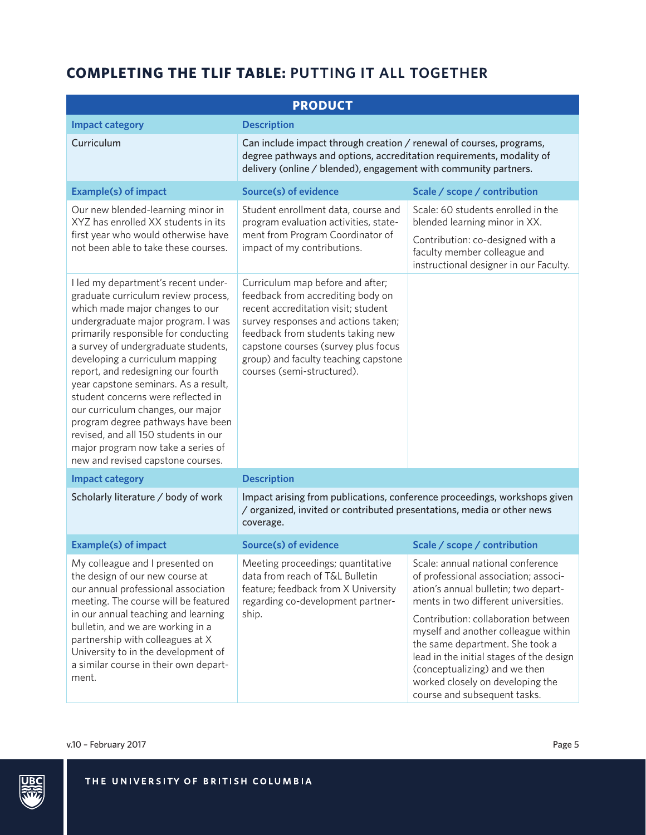| <b>PRODUCT</b>                                                                                                                                                                                                                                                                                                                                                                                                                                                                                                                                                                         |                                                                                                                                                                                                                                                                                                       |                                                                                                                                                                                                                                                                                                                                                                                                                             |  |  |
|----------------------------------------------------------------------------------------------------------------------------------------------------------------------------------------------------------------------------------------------------------------------------------------------------------------------------------------------------------------------------------------------------------------------------------------------------------------------------------------------------------------------------------------------------------------------------------------|-------------------------------------------------------------------------------------------------------------------------------------------------------------------------------------------------------------------------------------------------------------------------------------------------------|-----------------------------------------------------------------------------------------------------------------------------------------------------------------------------------------------------------------------------------------------------------------------------------------------------------------------------------------------------------------------------------------------------------------------------|--|--|
| <b>Impact category</b>                                                                                                                                                                                                                                                                                                                                                                                                                                                                                                                                                                 | <b>Description</b>                                                                                                                                                                                                                                                                                    |                                                                                                                                                                                                                                                                                                                                                                                                                             |  |  |
| Curriculum                                                                                                                                                                                                                                                                                                                                                                                                                                                                                                                                                                             | Can include impact through creation / renewal of courses, programs,<br>degree pathways and options, accreditation requirements, modality of<br>delivery (online / blended), engagement with community partners.                                                                                       |                                                                                                                                                                                                                                                                                                                                                                                                                             |  |  |
| <b>Example(s) of impact</b>                                                                                                                                                                                                                                                                                                                                                                                                                                                                                                                                                            | <b>Source(s) of evidence</b>                                                                                                                                                                                                                                                                          | Scale / scope / contribution                                                                                                                                                                                                                                                                                                                                                                                                |  |  |
| Our new blended-learning minor in<br>XYZ has enrolled XX students in its<br>first year who would otherwise have<br>not been able to take these courses.                                                                                                                                                                                                                                                                                                                                                                                                                                | Student enrollment data, course and<br>program evaluation activities, state-<br>ment from Program Coordinator of<br>impact of my contributions.                                                                                                                                                       | Scale: 60 students enrolled in the<br>blended learning minor in XX.<br>Contribution: co-designed with a<br>faculty member colleague and<br>instructional designer in our Faculty.                                                                                                                                                                                                                                           |  |  |
| I led my department's recent under-<br>graduate curriculum review process,<br>which made major changes to our<br>undergraduate major program. I was<br>primarily responsible for conducting<br>a survey of undergraduate students,<br>developing a curriculum mapping<br>report, and redesigning our fourth<br>year capstone seminars. As a result,<br>student concerns were reflected in<br>our curriculum changes, our major<br>program degree pathways have been<br>revised, and all 150 students in our<br>major program now take a series of<br>new and revised capstone courses. | Curriculum map before and after;<br>feedback from accrediting body on<br>recent accreditation visit; student<br>survey responses and actions taken;<br>feedback from students taking new<br>capstone courses (survey plus focus<br>group) and faculty teaching capstone<br>courses (semi-structured). |                                                                                                                                                                                                                                                                                                                                                                                                                             |  |  |
| <b>Impact category</b>                                                                                                                                                                                                                                                                                                                                                                                                                                                                                                                                                                 | <b>Description</b>                                                                                                                                                                                                                                                                                    |                                                                                                                                                                                                                                                                                                                                                                                                                             |  |  |
| Scholarly literature / body of work                                                                                                                                                                                                                                                                                                                                                                                                                                                                                                                                                    | Impact arising from publications, conference proceedings, workshops given<br>/ organized, invited or contributed presentations, media or other news<br>coverage.                                                                                                                                      |                                                                                                                                                                                                                                                                                                                                                                                                                             |  |  |
| <b>Example(s) of impact</b>                                                                                                                                                                                                                                                                                                                                                                                                                                                                                                                                                            | <b>Source(s) of evidence</b>                                                                                                                                                                                                                                                                          | Scale / scope / contribution                                                                                                                                                                                                                                                                                                                                                                                                |  |  |
| My colleague and I presented on<br>the design of our new course at<br>our annual professional association<br>meeting. The course will be featured<br>in our annual teaching and learning<br>bulletin, and we are working in a<br>partnership with colleagues at X<br>University to in the development of<br>a similar course in their own depart-<br>ment.                                                                                                                                                                                                                             | Meeting proceedings; quantitative<br>data from reach of T&L Bulletin<br>feature; feedback from X University<br>regarding co-development partner-<br>ship.                                                                                                                                             | Scale: annual national conference<br>of professional association; associ-<br>ation's annual bulletin; two depart-<br>ments in two different universities.<br>Contribution: collaboration between<br>myself and another colleague within<br>the same department. She took a<br>lead in the initial stages of the design<br>(conceptualizing) and we then<br>worked closely on developing the<br>course and subsequent tasks. |  |  |